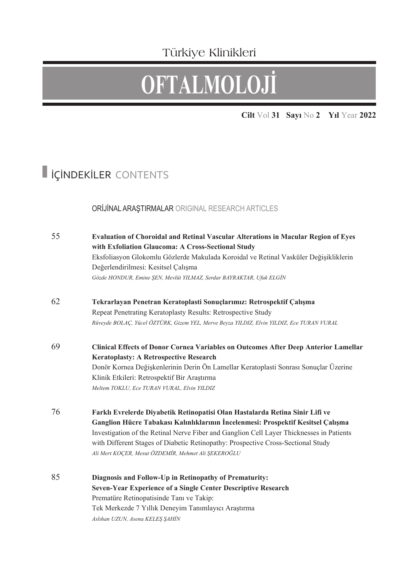### Türkiye Klinikleri

# **OFTALMOLOJİ**

**Cilt** Vol **31 Sayı** No **2 Yıl** Year **2022**

## İÇİNDEKİLER CONTENTS

#### ORİJİNAL ARAŞTIRMALAR ORIGINAL RESEARCH ARTICLES

| 55 | <b>Evaluation of Choroidal and Retinal Vascular Alterations in Macular Region of Eyes</b> |
|----|-------------------------------------------------------------------------------------------|
|    | with Exfoliation Glaucoma: A Cross-Sectional Study                                        |
|    | Eksfoliasyon Glokomlu Gözlerde Makulada Koroidal ve Retinal Vasküler Değişikliklerin      |
|    | Değerlendirilmesi: Kesitsel Çalışma                                                       |
|    | Gözde HONDUR, Emine ŞEN, Mevlüt YILMAZ, Serdar BAYRAKTAR, Ufuk ELGİN                      |
| 62 | Tekrarlayan Penetran Keratoplasti Sonuçlarımız: Retrospektif Çalışma                      |
|    | Repeat Penetrating Keratoplasty Results: Retrospective Study                              |
|    | Rüveyde BOLAÇ, Yücel ÖZTÜRK, Gizem YEL, Merve Beyza YILDIZ, Elvin YILDIZ, Ece TURAN VURAL |
| 69 | Clinical Effects of Donor Cornea Variables on Outcomes After Deep Anterior Lamellar       |
|    | <b>Keratoplasty: A Retrospective Research</b>                                             |
|    | Donör Kornea Değişkenlerinin Derin Ön Lamellar Keratoplasti Sonrası Sonuçlar Üzerine      |
|    | Klinik Etkileri: Retrospektif Bir Araştırma                                               |
|    | Meltem TOKLU, Ece TURAN VURAL, Elvin YILDIZ                                               |
| 76 | Farklı Evrelerde Diyabetik Retinopatisi Olan Hastalarda Retina Sinir Lifi ve              |
|    | Ganglion Hücre Tabakası Kalınlıklarının İncelenmesi: Prospektif Kesitsel Çalışma          |
|    | Investigation of the Retinal Nerve Fiber and Ganglion Cell Layer Thicknesses in Patients  |
|    | with Different Stages of Diabetic Retinopathy: Prospective Cross-Sectional Study          |
|    | Ali Mert KOÇER, Mesut ÖZDEMİR, Mehmet Ali ŞEKEROĞLU                                       |
| 85 | Diagnosis and Follow-Up in Retinopathy of Prematurity:                                    |
|    | Seven-Year Experience of a Single Center Descriptive Research                             |
|    | Prematüre Retinopatisinde Tanı ve Takip:                                                  |
|    | Tek Merkezde 7 Yıllık Deneyim Tanımlayıcı Araştırma                                       |
|    | Aslıhan UZUN, Asena KELEŞ ŞAHİN                                                           |